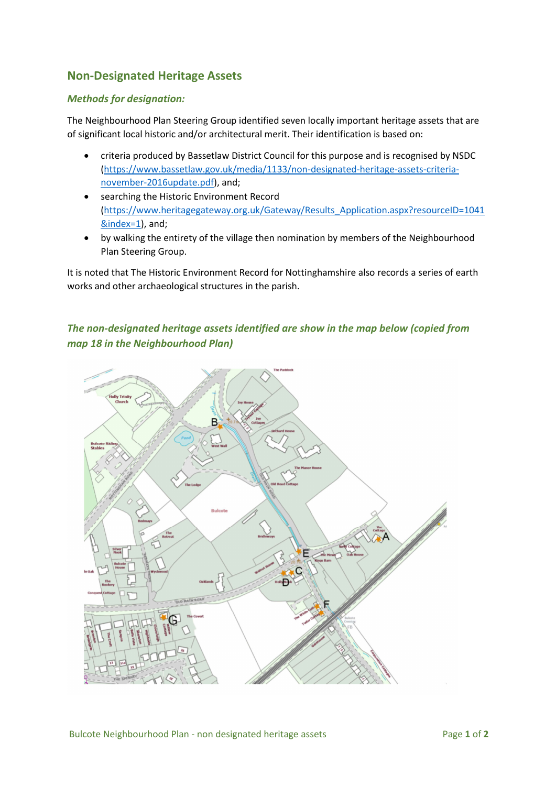## Non-Designated Heritage Assets

## Methods for designation:

The Neighbourhood Plan Steering Group identified seven locally important heritage assets that are of significant local historic and/or architectural merit. Their identification is based on:

- criteria produced by Bassetlaw District Council for this purpose and is recognised by NSDC (https://www.bassetlaw.gov.uk/media/1133/non-designated-heritage-assets-criterianovember-2016update.pdf), and;
- searching the Historic Environment Record (https://www.heritagegateway.org.uk/Gateway/Results\_Application.aspx?resourceID=1041 &index=1), and;
- by walking the entirety of the village then nomination by members of the Neighbourhood Plan Steering Group.

It is noted that The Historic Environment Record for Nottinghamshire also records a series of earth works and other archaeological structures in the parish.

## The non-designated heritage assets identified are show in the map below (copied from map 18 in the Neighbourhood Plan)